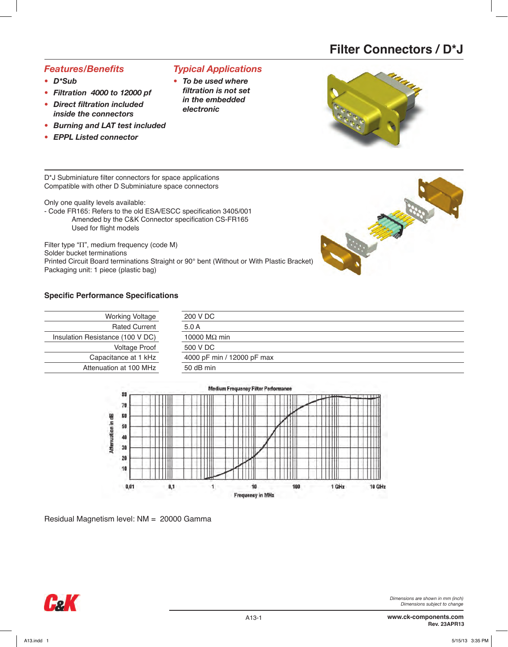# *Features/Benefits*

# *Typical Applications*

*• To be used where filtration is not set in the embedded* 

 *electronic*

- *• D\*Sub*
- *• Filtration 4000 to 12000 pf*
- *• Direct filtration included inside the connectors*
- *• Burning and LAT test included*
- *EPPL Listed connector*

D\*J Subminiature filter connectors for space applications Compatible with other D Subminiature space connectors

Only one quality levels available:

- Code FR165: Refers to the old ESA/ESCC specification 3405/001 Amended by the C&K Connector specification CS-FR165 Used for flight models

Filter type " $\Pi$ ", medium frequency (code M)

Solder bucket terminations

Printed Circuit Board terminations Straight or 90° bent (Without or With Plastic Bracket) Packaging unit: 1 piece (plastic bag)

## **Specific Performance Specifications**





Residual Magnetism level: NM = 20000 Gamma



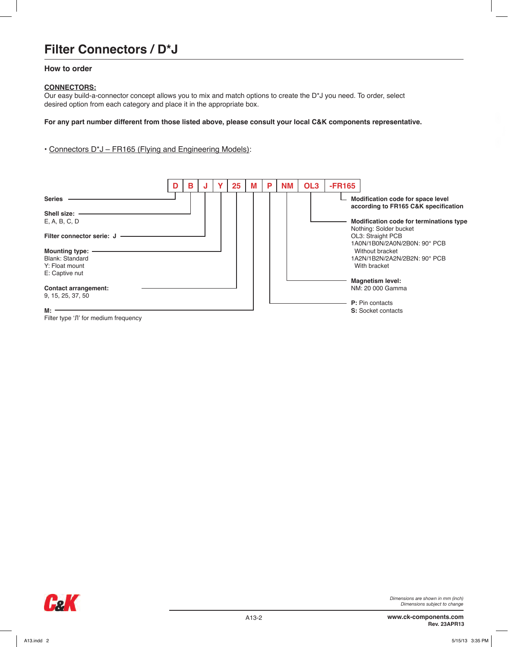# **Filter Connectors / D\*J**

### **How to order**

#### **CONNECTORS:**

Our easy build-a-connector concept allows you to mix and match options to create the D\*J you need. To order, select desired option from each category and place it in the appropriate box.

**For any part number different from those listed above, please consult your local C&K components representative.**

• Connectors D\*J – FR165 (Flying and Engineering Models):

|                                             | в |  | 25 | M | P | NM. | OL <sub>3</sub> | $-FR165$ |                                                                           |
|---------------------------------------------|---|--|----|---|---|-----|-----------------|----------|---------------------------------------------------------------------------|
| Series                                      |   |  |    |   |   |     |                 |          | Modification code for space level<br>according to FR165 C&K specification |
| Shell size:                                 |   |  |    |   |   |     |                 |          |                                                                           |
| E, A, B, C, D                               |   |  |    |   |   |     |                 |          | Modification code for terminations type<br>Nothing: Solder bucket         |
| Filter connector serie: J                   |   |  |    |   |   |     |                 |          | OL3: Straight PCB<br>1A0N/1B0N/2A0N/2B0N: 90° PCB                         |
| Mounting type: -                            |   |  |    |   |   |     |                 |          | Without bracket                                                           |
| Blank: Standard                             |   |  |    |   |   |     |                 |          | 1A2N/1B2N/2A2N/2B2N: 90° PCB                                              |
| Y: Float mount<br>E: Captive nut            |   |  |    |   |   |     |                 |          | With bracket                                                              |
|                                             |   |  |    |   |   |     |                 |          | <b>Magnetism level:</b>                                                   |
| <b>Contact arrangement:</b>                 |   |  |    |   |   |     |                 |          | NM: 20 000 Gamma                                                          |
| 9, 15, 25, 37, 50                           |   |  |    |   |   |     |                 |          |                                                                           |
|                                             |   |  |    |   |   |     |                 |          | <b>P</b> : Pin contacts                                                   |
| М:<br>Filter type 'II' for medium frequency |   |  |    |   |   |     |                 |          | <b>S:</b> Socket contacts                                                 |

Filter type 'Л' for medium frequency



*Dimensions are shown in mm (inch) Dimensions subject to change*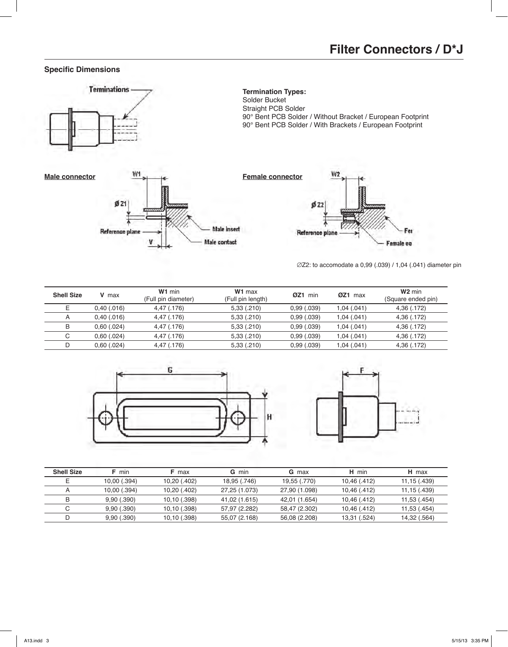#### **Specific Dimensions**



∅Z2: to accomodate a 0,99 (.039) / 1,04 (.041) diameter pin

| <b>Shell Size</b> | <b>V</b> max  | W <sub>1</sub> min<br>(Full pin diameter) | W <sub>1</sub> max<br>(Full pin length) | ØZ1<br>min  | ØZ1 max     | $W2$ min<br>(Square ended pin) |
|-------------------|---------------|-------------------------------------------|-----------------------------------------|-------------|-------------|--------------------------------|
| E                 | 0,40(.016)    | 4,47 (.176)                               | 5,33(.210)                              | 0.99(0.039) | 1,04(.041)  | 4,36 (.172)                    |
| A                 | $0,40$ (.016) | 4,47 (.176)                               | 5,33(.210)                              | 0,99(.039)  | 1.04(0.041) | 4,36 (.172)                    |
| B                 | 0,60(.024)    | 4.47 (.176)                               | 5.33(.210)                              | 0.99(0.039) | 1.04(0.041) | 4,36 (.172)                    |
| C                 | 0,60(.024)    | 4.47 (.176)                               | 5,33(.210)                              | 0.99(0.039) | 1.04(0.041) | 4,36 (.172)                    |
| D                 | 0,60(.024)    | 4.47 (.176)                               | 5,33(.210)                              | 0.99(0.039) | 1,04(.041)  | 4,36 (.172)                    |





| <b>Shell Size</b> | <b>F</b> min | <b>F</b> max | <b>G</b> min  | <b>G</b> max  | H min        | H max         |
|-------------------|--------------|--------------|---------------|---------------|--------------|---------------|
|                   | 10,00 (.394) | 10,20 (.402) | 18.95 (.746)  | 19.55 (.770)  | 10.46 (.412) | 11, 15 (.439) |
|                   | 10,00 (.394) | 10.20 (.402) | 27,25 (1.073) | 27,90 (1.098) | 10.46 (.412) | 11, 15 (.439) |
| B                 | 9,90(.390)   | 10.10 (.398) | 41.02 (1.615) | 42.01 (1.654) | 10.46 (.412) | 11.53 (.454)  |
| С                 | 9,90(.390)   | 10.10 (.398) | 57.97 (2.282) | 58.47 (2.302) | 10.46 (.412) | 11.53(.454)   |
|                   | 9,90(.390)   | 10,10 (.398) | 55.07 (2.168) | 56.08 (2.208) | 13,31 (.524) | 14,32 (.564)  |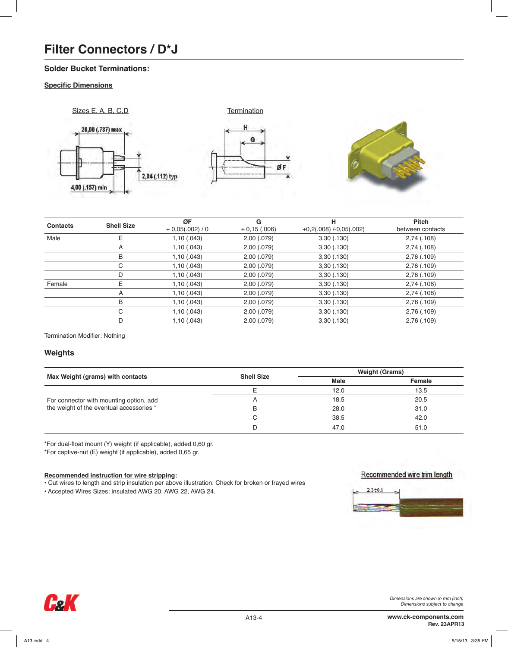## **Solder Bucket Terminations:**

## **Specific Dimensions**



|                 |                   | ØF                | G                | н                       | <b>Pitch</b>     |
|-----------------|-------------------|-------------------|------------------|-------------------------|------------------|
| <b>Contacts</b> | <b>Shell Size</b> | $+0,05(.002) / 0$ | $\pm 0,15(.006)$ | $+0,2(.008)/0.05(.002)$ | between contacts |
| Male            | Е                 | 1,10(.043)        | 2,00 (.079)      | 3,30(.130)              | 2,74 (.108)      |
|                 | A                 | 1,10(.043)        | 2,00 (.079)      | 3,30(.130)              | 2,74 (.108)      |
|                 | B                 | 1,10(.043)        | 2,00 (.079)      | 3,30(.130)              | 2,76 (.109)      |
|                 | С                 | 1,10(.043)        | 2,00 (.079)      | 3,30(.130)              | 2,76 (.109)      |
|                 | D                 | 1,10(.043)        | 2,00 (.079)      | 3,30(.130)              | 2,76 (.109)      |
| Female          | E.                | 1,10(.043)        | 2,00(.079)       | 3,30(.130)              | 2,74 (.108)      |
|                 | A                 | 1,10(.043)        | 2,00(.079)       | 3,30(.130)              | 2,74 (.108)      |
|                 | B                 | 1,10(.043)        | 2,00 (.079)      | 3,30(.130)              | 2,76 (.109)      |
|                 | С                 | 1,10(.043)        | 2,00 (.079)      | 3,30(.130)              | 2,76 (.109)      |
|                 | D                 | 1,10(.043)        | 2,00 (.079)      | 3,30(.130)              | 2,76(.109)       |

Termination Modifier: Nothing

## **Weights**

|                                          | <b>Shell Size</b> | Weight (Grams) |        |  |
|------------------------------------------|-------------------|----------------|--------|--|
| Max Weight (grams) with contacts         |                   | Male           | Female |  |
|                                          |                   | 12.0           | 13.5   |  |
| For connector with mounting option, add  |                   | 18.5           | 20.5   |  |
| the weight of the eventual accessories * | R                 | 28.0           | 31.0   |  |
|                                          |                   | 38.5           | 42.0   |  |
|                                          |                   | 47.0           | 51.0   |  |

\*For dual-float mount (Y) weight (if applicable), added 0,60 gr.

\*For captive-nut (E) weight (if applicable), added 0,65 gr.

#### **Recommended instruction for wire stripping:**

• Cut wires to length and strip insulation per above illustration. Check for broken or frayed wires

• Accepted Wires Sizes: insulated AWG 20, AWG 22, AWG 24.

#### Recommended wire trim length

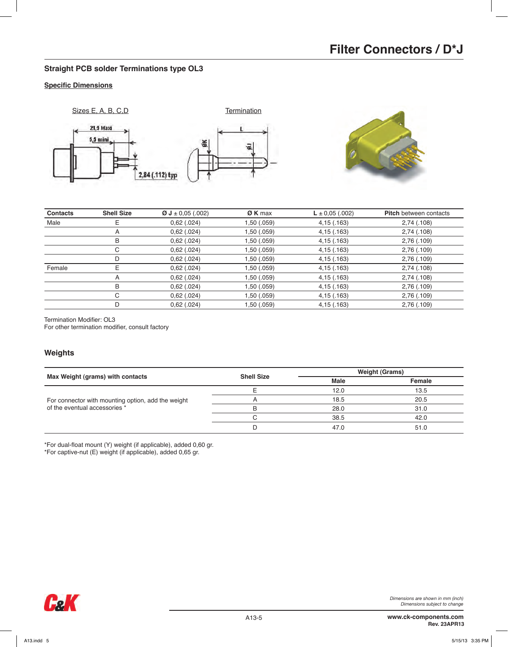## **Straight PCB solder Terminations type OL3**

#### **Specific Dimensions**



| <b>Contacts</b> | <b>Shell Size</b> | $\varnothing$ J ± 0,05 (.002) | Ø K max     | $L \pm 0.05$ (.002) | <b>Pitch between contacts</b> |
|-----------------|-------------------|-------------------------------|-------------|---------------------|-------------------------------|
| Male            | Ε                 | 0,62(.024)                    | 1,50 (.059) | 4,15(.163)          | 2,74 (.108)                   |
|                 | A                 | 0,62(.024)                    | 1,50 (.059) | 4,15(.163)          | 2,74 (.108)                   |
|                 | B                 | 0,62(.024)                    | 1,50 (.059) | 4,15(.163)          | 2,76 (.109)                   |
|                 | С                 | 0,62(.024)                    | 1,50 (.059) | 4, 15 (.163)        | 2,76 (.109)                   |
|                 | D                 | 0,62(.024)                    | 1,50 (.059) | 4, 15 (.163)        | 2,76 (.109)                   |
| Female          | E                 | 0,62(.024)                    | 1,50 (.059) | 4,15(.163)          | 2,74 (.108)                   |
|                 | A                 | 0,62(.024)                    | 1,50 (.059) | 4,15(.163)          | $2,74$ (.108)                 |
|                 | B                 | 0,62(.024)                    | 1,50 (.059) | 4, 15 (.163)        | 2,76 (.109)                   |
|                 | С                 | 0,62(.024)                    | 1,50 (.059) | 4,15(.163)          | 2,76 (.109)                   |
|                 | D                 | 0,62(.024)                    | 1,50 (.059) | 4,15(.163)          | 2,76(.109)                    |

Termination Modifier: OL3

For other termination modifier, consult factory

## **Weights**

|                                                    | <b>Shell Size</b> |      | Weight (Grams) |  |  |
|----------------------------------------------------|-------------------|------|----------------|--|--|
| Max Weight (grams) with contacts                   |                   | Male | Female         |  |  |
|                                                    |                   | 12.0 | 13.5           |  |  |
| For connector with mounting option, add the weight |                   | 18.5 | 20.5           |  |  |
| of the eventual accessories *                      | R                 | 28.0 | 31.0           |  |  |
|                                                    |                   | 38.5 | 42.0           |  |  |
|                                                    |                   | 47.0 | 51.0           |  |  |

\*For dual-float mount (Y) weight (if applicable), added 0,60 gr.

\*For captive-nut (E) weight (if applicable), added 0,65 gr.

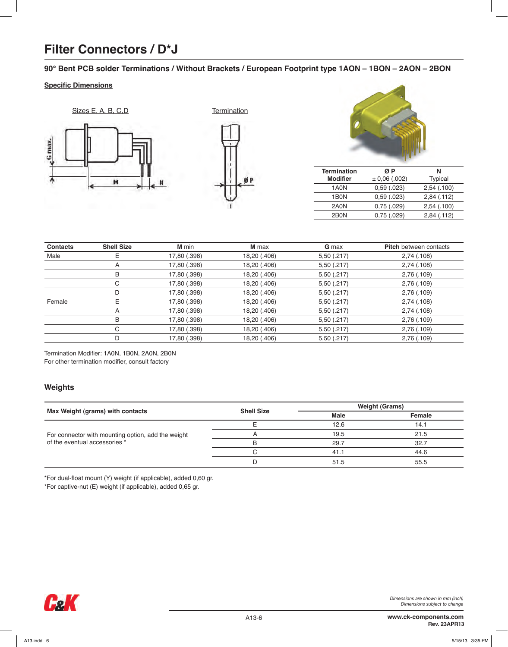# **Filter Connectors / D\*J**

**90° Bent PCB solder Terminations / Without Brackets / European Footprint type 1AON – 1BON – 2AON – 2BON**

#### **Specific Dimensions**







| <b>Termination</b> | ØΡ                | N              |
|--------------------|-------------------|----------------|
| <b>Modifier</b>    | $\pm 0.06$ (.002) | <b>Typical</b> |
| 1A0N               | 0,59(.023)        | 2,54(.100)     |
| 1B <sub>0</sub> N  | 0,59(.023)        | $2,84$ (.112)  |
| 2A0N               | 0,75(.029)        | 2,54(.100)     |
| 2B <sub>0</sub> N  | 0,75(.029)        | $2,84$ (.112)  |

| <b>Contacts</b> | <b>Shell Size</b> | <b>M</b> min | M max        | <b>G</b> max | <b>Pitch between contacts</b> |
|-----------------|-------------------|--------------|--------------|--------------|-------------------------------|
| Male            |                   | 17,80 (.398) | 18,20 (.406) | 5,50(.217)   | 2,74 (.108)                   |
|                 | A                 | 17,80 (.398) | 18,20 (.406) | 5,50(.217)   | 2,74 (.108)                   |
|                 | в                 | 17,80 (.398) | 18,20 (.406) | 5,50(.217)   | 2,76(.109)                    |
|                 | С                 | 17,80 (.398) | 18,20 (.406) | 5,50(.217)   | 2,76(.109)                    |
|                 | D                 | 17,80 (.398) | 18,20 (.406) | 5,50(.217)   | 2,76(.109)                    |
| Female          | Ε                 | 17,80 (.398) | 18,20 (.406) | 5,50(.217)   | 2,74 (.108)                   |
|                 | A                 | 17,80 (.398) | 18,20 (.406) | 5,50(.217)   | 2,74 (.108)                   |
|                 | B                 | 17,80 (.398) | 18,20 (.406) | 5,50(.217)   | 2,76(.109)                    |
|                 | С                 | 17,80 (.398) | 18,20 (.406) | 5,50(.217)   | 2,76(.109)                    |
|                 | D                 | 17,80 (.398) | 18,20 (.406) | 5,50(.217)   | 2,76(.109)                    |

Termination Modifier: 1A0N, 1B0N, 2A0N, 2B0N For other termination modifier, consult factory

## **Weights**

|                                                    | <b>Shell Size</b> |      | Weight (Grams) |  |  |
|----------------------------------------------------|-------------------|------|----------------|--|--|
| Max Weight (grams) with contacts                   |                   | Male | Female         |  |  |
|                                                    |                   | 12.6 | 14.1           |  |  |
| For connector with mounting option, add the weight |                   | 19.5 | 21.5           |  |  |
| of the eventual accessories *                      | B                 | 29.7 | 32.7           |  |  |
|                                                    |                   | 41.1 | 44.6           |  |  |
|                                                    |                   | 51.5 | 55.5           |  |  |

\*For dual-float mount (Y) weight (if applicable), added 0,60 gr.

\*For captive-nut (E) weight (if applicable), added 0,65 gr.

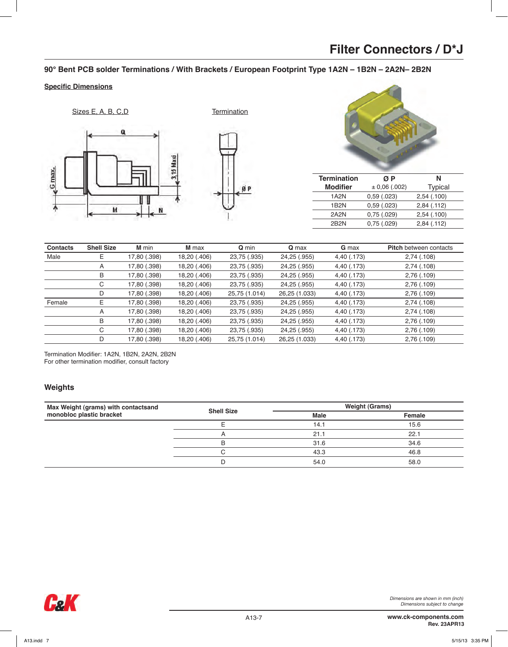**90° Bent PCB solder Terminations / With Brackets / European Footprint Type 1A2N – 1B2N – 2A2N– 2B2N**

#### **Specific Dimensions**

#### Sizes E, A, B, C, D Termination







| <b>Termination</b> | ØΡ              | N              |
|--------------------|-----------------|----------------|
| <b>Modifier</b>    | ± 0,06(.002)    | <b>Typical</b> |
| 1A <sub>2</sub> N  | 0,59(.023)      | 2,54(.100)     |
| 1B2N               | $0,59$ $(.023)$ | $2,84$ (.112)  |
| <b>2A2N</b>        | 0,75(.029)      | 2,54(.100)     |
| 2B2N               | 0,75(.029)      | $2,84$ (.112)  |

| <b>Contacts</b> | <b>Shell Size</b> | M min        | M max        | Q min         | <b>Q</b> max  | <b>G</b> max | <b>Pitch between contacts</b> |
|-----------------|-------------------|--------------|--------------|---------------|---------------|--------------|-------------------------------|
| Male            | Е                 | 17,80 (.398) | 18,20 (.406) | 23,75 (.935)  | 24,25 (.955)  | 4,40 (.173)  | 2,74 (.108)                   |
|                 | A                 | 17,80 (.398) | 18,20 (.406) | 23,75 (.935)  | 24,25 (.955)  | 4,40 (.173)  | 2,74 (.108)                   |
|                 | B                 | 17,80 (.398) | 18,20 (.406) | 23,75 (.935)  | 24,25 (.955)  | 4,40 (.173)  | 2,76(.109)                    |
|                 | C                 | 17,80 (.398) | 18,20 (.406) | 23,75 (.935)  | 24,25 (.955)  | 4,40 (.173)  | 2,76(.109)                    |
|                 | D                 | 17,80 (.398) | 18,20 (.406) | 25,75 (1.014) | 26,25 (1.033) | 4,40 (.173)  | 2,76(.109)                    |
| Female          | Е                 | 17,80 (.398) | 18,20 (.406) | 23,75 (.935)  | 24,25 (.955)  | 4,40 (.173)  | $2,74$ (.108)                 |
|                 | Α                 | 17,80 (.398) | 18,20 (.406) | 23,75 (.935)  | 24,25 (.955)  | 4,40 (.173)  | 2,74 (.108)                   |
|                 | B                 | 17,80 (.398) | 18,20 (.406) | 23,75 (.935)  | 24,25 (.955)  | 4,40 (.173)  | 2,76(.109)                    |
|                 | C                 | 17,80 (.398) | 18,20 (.406) | 23,75 (.935)  | 24,25 (.955)  | 4,40 (.173)  | 2,76(.109)                    |
|                 | D                 | 17,80 (.398) | 18,20 (.406) | 25,75 (1.014) | 26,25 (1.033) | 4,40 (.173)  | 2,76 (.109)                   |

Termination Modifier: 1A2N, 1B2N, 2A2N, 2B2N For other termination modifier, consult factory

### **Weights**

| Max Weight (grams) with contactsand<br>monobloc plastic bracket | <b>Shell Size</b> | <b>Weight (Grams)</b> |        |
|-----------------------------------------------------------------|-------------------|-----------------------|--------|
|                                                                 |                   | Male                  | Female |
|                                                                 |                   | 14.1                  | 15.6   |
|                                                                 |                   | 21.1                  | 22.1   |
|                                                                 | B                 | 31.6                  | 34.6   |
|                                                                 |                   | 43.3                  | 46.8   |
|                                                                 |                   | 54.0                  | 58.0   |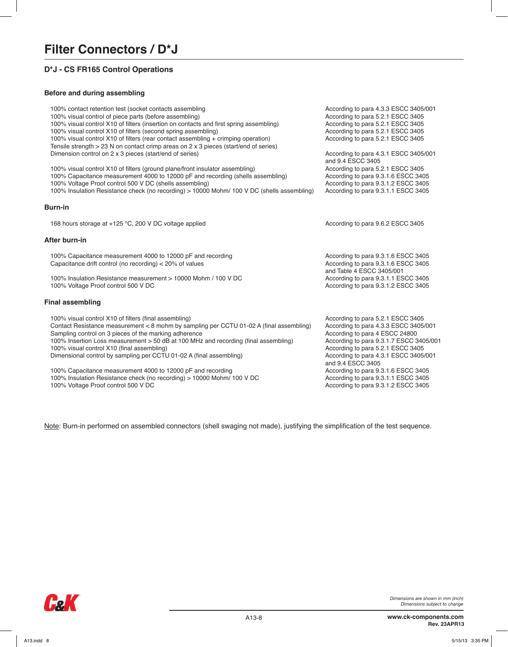## **D\*J - CS FR165 Control Operations**

#### **Before and during assembling**

| 100% contact retention test (socket contacts assembling<br>100% visual control of piece parts (before assembling)<br>100% visual control X10 of filters (insertion on contacts and first spring assembling)<br>100% visual control X10 of filters (second spring assembling)<br>100% visual control X10 of filters (rear contact assembling + crimping operation)<br>Tensile strength $>$ 23 N on contact crimp areas on 2 x 3 pieces (start/end of series)<br>Dimension control on 2 x 3 pieces (start/end of series)<br>100% visual control X10 of filters (ground plane/front insulator assembling)<br>100% Capacitance measurement 4000 to 12000 pF and recording (shells assembling)<br>100% Voltage Proof control 500 V DC (shells assembling)<br>100% Insulation Resistance check (no recording) > 10000 Mohm/ 100 V DC (shells assembling) | According to para 4.3.3 ESCC 3405/001<br>According to para 5.2.1 ESCC 3405<br>According to para 5.2.1 ESCC 3405<br>According to para 5.2.1 ESCC 3405<br>According to para 5.2.1 ESCC 3405<br>According to para 4.3.1 ESCC 3405/001<br>and 9.4 ESCC 3405<br>According to para 5.2.1 ESCC 3405<br>According to para 9.3.1.6 ESCC 3405<br>According to para 9.3.1.2 ESCC 3405<br>According to para 9.3.1.1 ESCC 3405 |
|----------------------------------------------------------------------------------------------------------------------------------------------------------------------------------------------------------------------------------------------------------------------------------------------------------------------------------------------------------------------------------------------------------------------------------------------------------------------------------------------------------------------------------------------------------------------------------------------------------------------------------------------------------------------------------------------------------------------------------------------------------------------------------------------------------------------------------------------------|-------------------------------------------------------------------------------------------------------------------------------------------------------------------------------------------------------------------------------------------------------------------------------------------------------------------------------------------------------------------------------------------------------------------|
| Burn-in                                                                                                                                                                                                                                                                                                                                                                                                                                                                                                                                                                                                                                                                                                                                                                                                                                            |                                                                                                                                                                                                                                                                                                                                                                                                                   |
| 168 hours storage at +125 °C, 200 V DC voltage applied                                                                                                                                                                                                                                                                                                                                                                                                                                                                                                                                                                                                                                                                                                                                                                                             | According to para 9.6.2 ESCC 3405                                                                                                                                                                                                                                                                                                                                                                                 |
| After burn-in                                                                                                                                                                                                                                                                                                                                                                                                                                                                                                                                                                                                                                                                                                                                                                                                                                      |                                                                                                                                                                                                                                                                                                                                                                                                                   |
| 100% Capacitance measurement 4000 to 12000 pF and recording<br>Capacitance drift control (no recording) < 20% of values<br>100% Insulation Resistance measurement > 10000 Mohm / 100 V DC<br>100% Voltage Proof control 500 V DC                                                                                                                                                                                                                                                                                                                                                                                                                                                                                                                                                                                                                   | According to para 9.3.1.6 ESCC 3405<br>According to para 9.3.1.6 ESCC 3405<br>and Table 4 ESCC 3405/001<br>According to para 9.3.1.1 ESCC 3405<br>According to para 9.3.1.2 ESCC 3405                                                                                                                                                                                                                             |
| <b>Final assembling</b>                                                                                                                                                                                                                                                                                                                                                                                                                                                                                                                                                                                                                                                                                                                                                                                                                            |                                                                                                                                                                                                                                                                                                                                                                                                                   |
| 100% visual control X10 of filters (final assembling)<br>Contact Resistance measurement < 8 mohm by sampling per CCTU 01-02 A (final assembling)<br>Sampling control on 3 pieces of the marking adherence<br>100% Insertion Loss measurement > 50 dB at 100 MHz and recording (final assembling)<br>100% visual control X10 (final assembling)<br>Dimensional control by sampling per CCTU 01-02 A (final assembling)<br>100% Capacitance measurement 4000 to 12000 pF and recording<br>100% Insulation Resistance check (no recording) > 10000 Mohm/ 100 V DC<br>100% Voltage Proof control 500 V DC                                                                                                                                                                                                                                              | According to para 5.2.1 ESCC 3405<br>According to para 4.3.3 ESCC 3405/001<br>According to para 4 ESCC 24800<br>According to para 9.3.1.7 ESCC 3405/001<br>According to para 5.2.1 ESCC 3405<br>According to para 4.3.1 ESCC 3405/001<br>and 9.4 ESCC 3405<br>According to para 9.3.1.6 ESCC 3405<br>According to para 9.3.1.1 ESCC 3405<br>According to para 9.3.1.2 ESCC 3405                                   |

Note: Burn-in performed on assembled connectors (shell swaging not made), justifying the simplification of the test sequence.

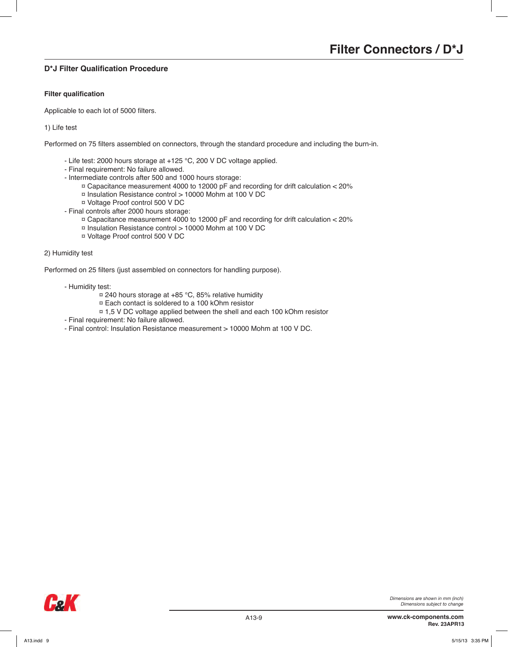## **D\*J Filter Qualification Procedure**

#### **Filter qualification**

Applicable to each lot of 5000 filters.

1) Life test

Performed on 75 filters assembled on connectors, through the standard procedure and including the burn-in.

- Life test: 2000 hours storage at +125 °C, 200 V DC voltage applied.
- Final requirement: No failure allowed.
- Intermediate controls after 500 and 1000 hours storage:
	- ¤ Capacitance measurement 4000 to 12000 pF and recording for drift calculation < 20% ¤ Insulation Resistance control > 10000 Mohm at 100 V DC
	- ¤ Voltage Proof control 500 V DC
- Final controls after 2000 hours storage:
	- ¤ Capacitance measurement 4000 to 12000 pF and recording for drift calculation < 20%
	- ¤ Insulation Resistance control > 10000 Mohm at 100 V DC
	- ¤ Voltage Proof control 500 V DC

#### 2) Humidity test

Performed on 25 filters (just assembled on connectors for handling purpose).

- Humidity test:
	- ¤ 240 hours storage at +85 °C, 85% relative humidity
	- ¤ Each contact is soldered to a 100 kOhm resistor
	- ¤ 1,5 V DC voltage applied between the shell and each 100 kOhm resistor
- Final requirement: No failure allowed.
- Final control: Insulation Resistance measurement > 10000 Mohm at 100 V DC.

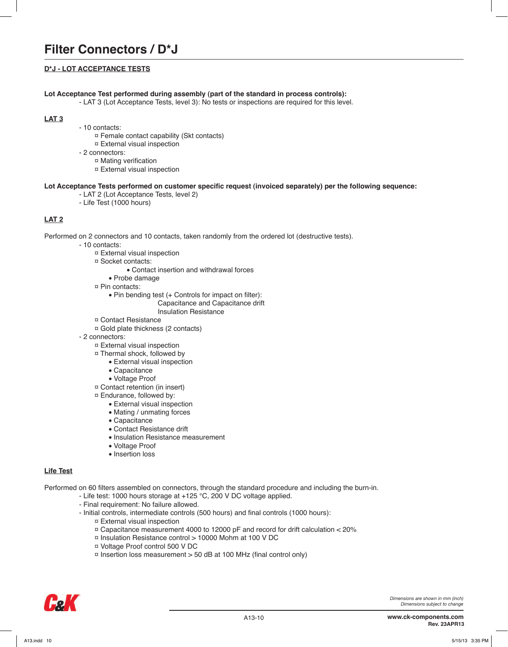## **D\*J - LOT ACCEPTANCE TESTS**

#### **Lot Acceptance Test performed during assembly (part of the standard in process controls):**

- LAT 3 (Lot Acceptance Tests, level 3): No tests or inspections are required for this level.

**LAT 3**

- 10 contacts:
	- ¤ Female contact capability (Skt contacts)
	- ¤ External visual inspection
- 2 connectors:
	- ¤ Mating verification
	- ¤ External visual inspection

#### **Lot Acceptance Tests performed on customer specific request (invoiced separately) per the following sequence:**

- LAT 2 (Lot Acceptance Tests, level 2)
- Life Test (1000 hours)

#### **LAT 2**

Performed on 2 connectors and 10 contacts, taken randomly from the ordered lot (destructive tests).

- 10 contacts:
	- ¤ External visual inspection
	- ¤ Socket contacts:
		- · Contact insertion and withdrawal forces
		- · Probe damage
	- ¤ Pin contacts:
		- · Pin bending test (+ Controls for impact on filter):
			- Capacitance and Capacitance drift
			- Insulation Resistance
	- ¤ Contact Resistance
	- ¤ Gold plate thickness (2 contacts)
- 2 connectors:
	- ¤ External visual inspection
	- ¤ Thermal shock, followed by
		- · External visual inspection
		- · Capacitance
		- · Voltage Proof
	- ¤ Contact retention (in insert)
	- ¤ Endurance, followed by:
		- · External visual inspection
		- · Mating / unmating forces
		- · Capacitance
		- · Contact Resistance drift
		- · Insulation Resistance measurement
		- · Voltage Proof
		- · Insertion loss

#### **Life Test**

Performed on 60 filters assembled on connectors, through the standard procedure and including the burn-in.

- Life test: 1000 hours storage at +125 °C, 200 V DC voltage applied.
	- Final requirement: No failure allowed.
	- Initial controls, intermediate controls (500 hours) and final controls (1000 hours):
		- ¤ External visual inspection
		- ¤ Capacitance measurement 4000 to 12000 pF and record for drift calculation < 20%
		- ¤ Insulation Resistance control > 10000 Mohm at 100 V DC
		- ¤ Voltage Proof control 500 V DC
		- $\alpha$  Insertion loss measurement > 50 dB at 100 MHz (final control only)

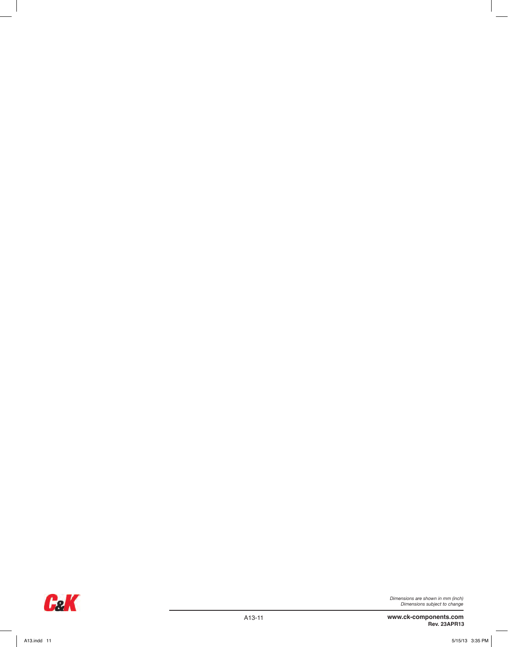

*Dimensions are shown in mm (inch) Dimensions subject to change*